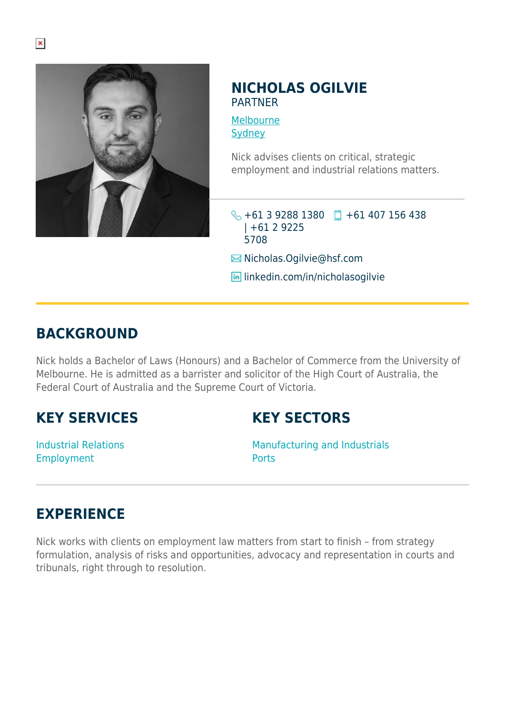

## **NICHOLAS OGILVIE** PARTNER

[Melbourne](https://www.herbertsmithfreehills.com/lang-ru/where-we-work/melbourne) **[Sydney](https://www.herbertsmithfreehills.com/lang-ru/where-we-work/sydney)** 

Nick advises clients on critical, strategic employment and industrial relations matters.

+61 3 9288 1380 +61 407 156 438 | +61 2 9225 5708

**E**Nicholas.Ogilvie@hsf.com

**in** linkedin.com/in/nicholasogilvie

## **BACKGROUND**

Nick holds a Bachelor of Laws (Honours) and a Bachelor of Commerce from the University of Melbourne. He is admitted as a barrister and solicitor of the High Court of Australia, the Federal Court of Australia and the Supreme Court of Victoria.

## **KEY SERVICES**

**KEY SECTORS**

Industrial Relations Employment

Manufacturing and Industrials **Ports** 

## **EXPERIENCE**

Nick works with clients on employment law matters from start to finish – from strategy formulation, analysis of risks and opportunities, advocacy and representation in courts and tribunals, right through to resolution.